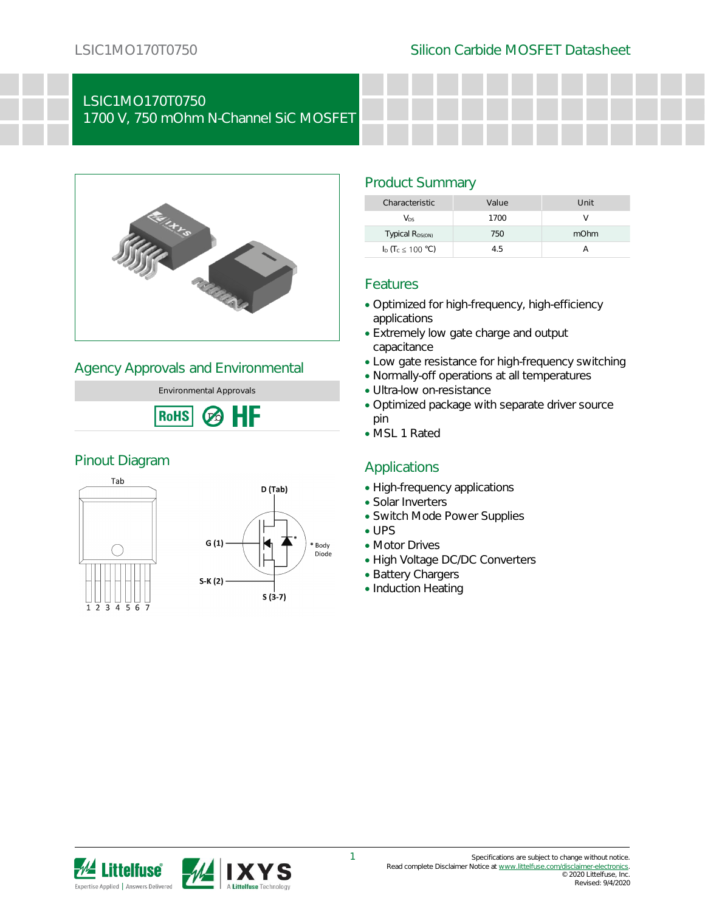# LSIC1MO170T0750

1700 V, 750 mOhm N-Channel SiC MOSFET



### Agency Approvals and Environmental

Environmental Approvals HF **RoHS**  $\mathcal{C}$ 

### Pinout Diagram





### Product Summary

| Characteristic                       | Value | Unit |
|--------------------------------------|-------|------|
| Vns                                  | 1700  |      |
| Typical R <sub>DS(ON)</sub>          | 750   | mOhm |
| $I_D$ (T <sub>c</sub> $\leq$ 100 °C) | 45    |      |

### Features

- Optimized for high-frequency, high-efficiency applications
- Extremely low gate charge and output capacitance
- Low gate resistance for high-frequency switching
- Normally-off operations at all temperatures
- Ultra-low on-resistance
- Optimized package with separate driver source pin
- MSL 1 Rated

### Applications

- High-frequency applications
- Solar Inverters
- Switch Mode Power Supplies
- UPS
- Motor Drives
- High Voltage DC/DC Converters
- Battery Chargers
- Induction Heating

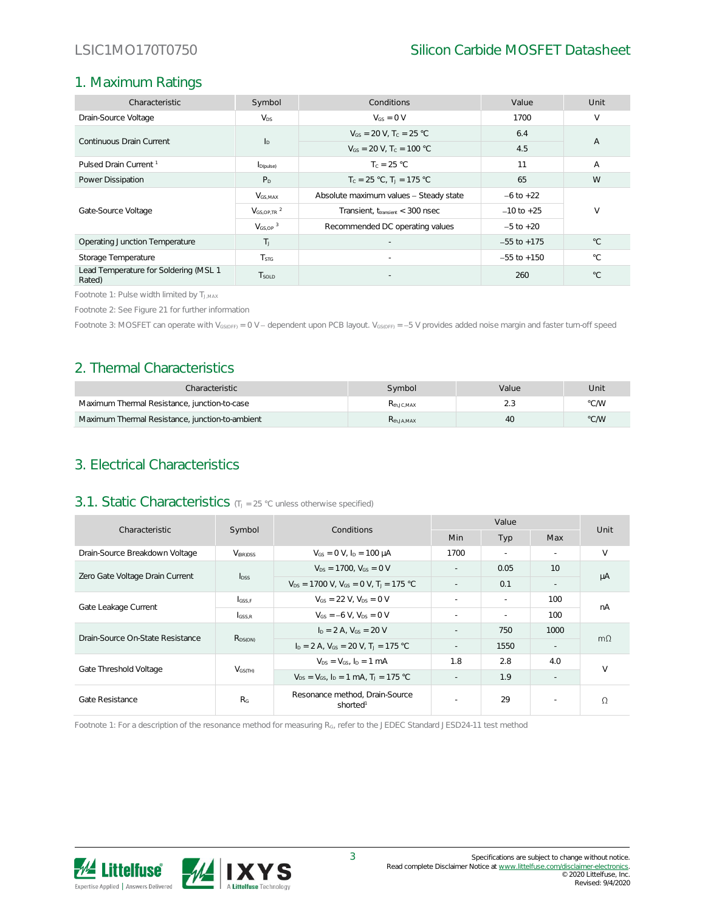# 1. Maximum Ratings

| Characteristic                                  | Symbol                      | Conditions<br>Value                          |                 | Unit           |  |
|-------------------------------------------------|-----------------------------|----------------------------------------------|-----------------|----------------|--|
| Drain-Source Voltage                            | $V_{DS}$                    | $V_{GS} = 0 V$                               | 1700            | V              |  |
| Continuous Drain Current                        |                             | $V_{GS} = 20 V$ . T <sub>c</sub> = 25 °C     | 6.4             | $\overline{A}$ |  |
|                                                 | $I_{\text{D}}$              | $V_{GS}$ = 20 V, T <sub>c</sub> = 100 °C     | 4.5             |                |  |
| Pulsed Drain Current <sup>1</sup>               | $I_{D(\text{pulse})}$       | $T_c = 25 °C$                                | 11              | A              |  |
| Power Dissipation                               | P <sub>D</sub>              | $T_c = 25 °C$ , $T_1 = 175 °C$               | 65              | W              |  |
|                                                 | $V_{GS,MAX}$                | Absolute maximum values - Steady state       | $-6$ to $+22$   |                |  |
| Gate-Source Voltage                             | $V_{GS,OP,TR}$ <sup>2</sup> | Transient, $t_{\text{transient}} < 300$ nsec | $-10$ to $+25$  | V              |  |
|                                                 | $V_{GS,OP}$ <sup>3</sup>    | Recommended DC operating values              | $-5$ to $+20$   |                |  |
| Operating Junction Temperature                  | T <sub>1</sub>              |                                              | $-55$ to $+175$ | $^{\circ}C$    |  |
| Storage Temperature                             | T <sub>STG</sub>            | $\sim$                                       | $-55$ to $+150$ | $^{\circ}$ C   |  |
| Lead Temperature for Soldering (MSL 1<br>Rated) | T <sub>sold</sub>           |                                              | 260             | $^{\circ}C$    |  |

Footnote 1: Pulse width limited by TJ,MAX

Footnote 2: See Figure 21 for further information

Footnote 3: MOSFET can operate with V<sub>GS(OFF)</sub> = 0 V - dependent upon PCB layout. V<sub>GS(OFF)</sub> = -5 V provides added noise margin and faster turn-off speed

### 2. Thermal Characteristics

| Characteristic                                  | Symbol                 | Value | Unit |
|-------------------------------------------------|------------------------|-------|------|
| Maximum Thermal Resistance, junction-to-case    | K <sub>th</sub> JC MAX |       | °C/W |
| Maximum Thermal Resistance, junction-to-ambient | K <sub>th</sub> JA MAX | 40    | °C/W |

### 3. Electrical Characteristics

### 3.1. Static Characteristics (TJ = 25 °C unless otherwise specified)

| Characteristic                   |                      | Symbol<br>Conditions                                       |        | Value  |        |           |
|----------------------------------|----------------------|------------------------------------------------------------|--------|--------|--------|-----------|
|                                  |                      |                                                            | Min    | Typ    | Max    | Unit      |
| Drain-Source Breakdown Voltage   | V <sub>(BR)DSS</sub> | $V_{GS} = 0 V$ , $I_D = 100 \mu A$                         | 1700   | $\sim$ | $\sim$ | V         |
| Zero Gate Voltage Drain Current  | $I_{DSS}$            | $V_{DS} = 1700$ , $V_{GS} = 0$ V                           |        | 0.05   | 10     | μA        |
|                                  |                      | $V_{DS}$ = 1700 V, $V_{GS}$ = 0 V, T <sub>J</sub> = 175 °C | $\sim$ | 0.1    | $\sim$ |           |
| Gate Leakage Current             | $I_{GSS,F}$          | $V_{GS}$ = 22 V. $V_{DS}$ = 0 V                            | $\sim$ |        | 100    | nA        |
|                                  | $_{\text{GSS,R}}$    | $V_{GS} = -6 V$ . $V_{DS} = 0 V$                           | $\sim$ | ×.     | 100    |           |
| Drain-Source On-State Resistance | $R_{DS(ON)}$         | $I_D = 2 A$ , $V_{GS} = 20 V$                              | $\sim$ | 750    | 1000   | $m\Omega$ |
|                                  |                      | $I_D = 2 A$ , $V_{GS} = 20 V$ , $T_J = 175 °C$             | $\sim$ | 1550   |        |           |
| Gate Threshold Voltage           | $V_{GS(TH)}$         | $V_{DS} = V_{GS}$ , $I_D = 1$ mA                           | 1.8    | 2.8    | 4.0    | $\vee$    |
|                                  |                      | $V_{DS} = V_{GS}$ , $I_D = 1$ mA, $T_1 = 175$ °C           | $\sim$ | 1.9    |        |           |
| Gate Resistance                  | R <sub>G</sub>       | Resonance method, Drain-Source<br>shorted <sup>1</sup>     |        | 29     | $\sim$ | $\Omega$  |

Footnote 1: For a description of the resonance method for measuring RG, refer to the JEDEC Standard JESD24-11 test method

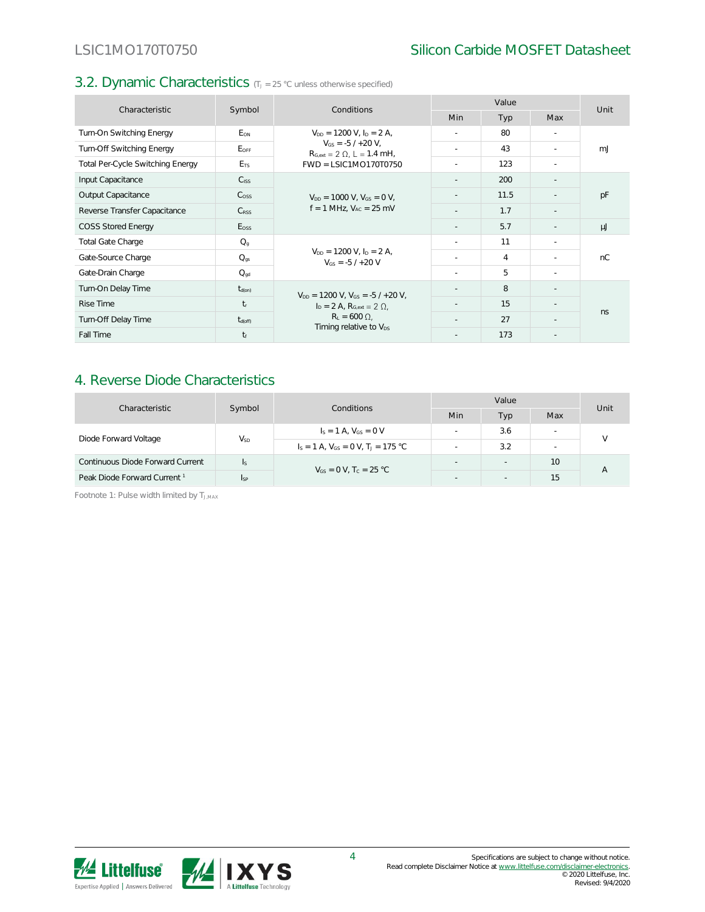### 3.2. Dynamic Characteristics (TJ = 25 °C unless otherwise specified)

| Characteristic                   |                     | Conditions                                                                                          |            | Value |        |      |
|----------------------------------|---------------------|-----------------------------------------------------------------------------------------------------|------------|-------|--------|------|
|                                  | Symbol              |                                                                                                     | <b>Min</b> | Typ   | Max    | Unit |
| Turn-On Switching Energy         | E <sub>ON</sub>     | $V_{DD} = 1200$ V, $I_D = 2$ A,                                                                     | ÷          | 80    | $\sim$ |      |
| Turn-Off Switching Energy        | EOFF                | $V_{GS} = -5/1 + 20 V$ ,<br>$R_{G,ext} = 2 \Omega$ , L = 1.4 mH,                                    | $\sim$     | 43    | $\sim$ | mJ   |
| Total Per-Cycle Switching Energy | E <sub>TS</sub>     | $FWD = LSIC1MO170T0750$                                                                             |            | 123   | ч.     |      |
| Input Capacitance                | C <sub>ISS</sub>    |                                                                                                     | ٠          | 200   | $\sim$ |      |
| Output Capacitance               | C <sub>oss</sub>    | $V_{DD} = 1000$ V, $V_{GS} = 0$ V,<br>$f = 1$ MHz, $V_{AC} = 25$ mV                                 | ×,         | 11.5  |        | pF   |
| Reverse Transfer Capacitance     | $C_{RSS}$           |                                                                                                     |            | 1.7   |        |      |
| <b>COSS Stored Energy</b>        | $E_{\rm OSS}$       |                                                                                                     | $\sim$     | 5.7   |        | μJ   |
| Total Gate Charge                | $Q_q$               |                                                                                                     | ٠          | 11    |        |      |
| Gate-Source Charge               | $Q_{gs}$            | $V_{DD} = 1200$ V, $I_D = 2$ A,<br>$V_{GS} = -5/1 + 20 V$                                           | ×.         | 4     |        | nC   |
| Gate-Drain Charge                | $Q_{qd}$            |                                                                                                     | ÷.         | 5.    | ч.     |      |
| Turn-On Delay Time               | $t_{d(on)}$         | $V_{DD} = 1200$ V, $V_{GS} = -5/120$ V,                                                             | ٠          | 8     | $\sim$ |      |
| Rise Time                        | $t_{r}$             | $I_D = 2 A$ , $R_{Gext} = 2 \Omega$ ,<br>$R_L = 600 \Omega$ ,<br>Timing relative to V <sub>DS</sub> | ÷          | 15    |        | ns.  |
| Turn-Off Delay Time              | $t_{\text{d(off)}}$ |                                                                                                     | ٠          | 27    |        |      |
| Fall Time                        | $t_f$               |                                                                                                     | ٠          | 173   |        |      |

### 4. Reverse Diode Characteristics

| Characteristic                          |            | Symbol<br>Conditions                                 | Value          |                          |     | Unit |
|-----------------------------------------|------------|------------------------------------------------------|----------------|--------------------------|-----|------|
|                                         |            | Min                                                  | Тур            | Max                      |     |      |
| Diode Forward Voltage                   | $V_{SD}$   | $I_S = 1 A$ , $V_{GS} = 0 V$                         |                | 3.6                      | . . |      |
|                                         |            | $I_s = 1$ A, $V_{GS} = 0$ V, T <sub>J</sub> = 175 °C |                | 3.2                      | . . |      |
| Continuous Diode Forward Current        | ls.        | $V_{GS} = 0$ V, T <sub>c</sub> = 25 °C               | $\sim$         | $\overline{\phantom{a}}$ | 10  |      |
| Peak Diode Forward Current <sup>1</sup> | <b>Isp</b> |                                                      | $\overline{a}$ |                          | 15  |      |

Footnote 1: Pulse width limited by TJ,MAX

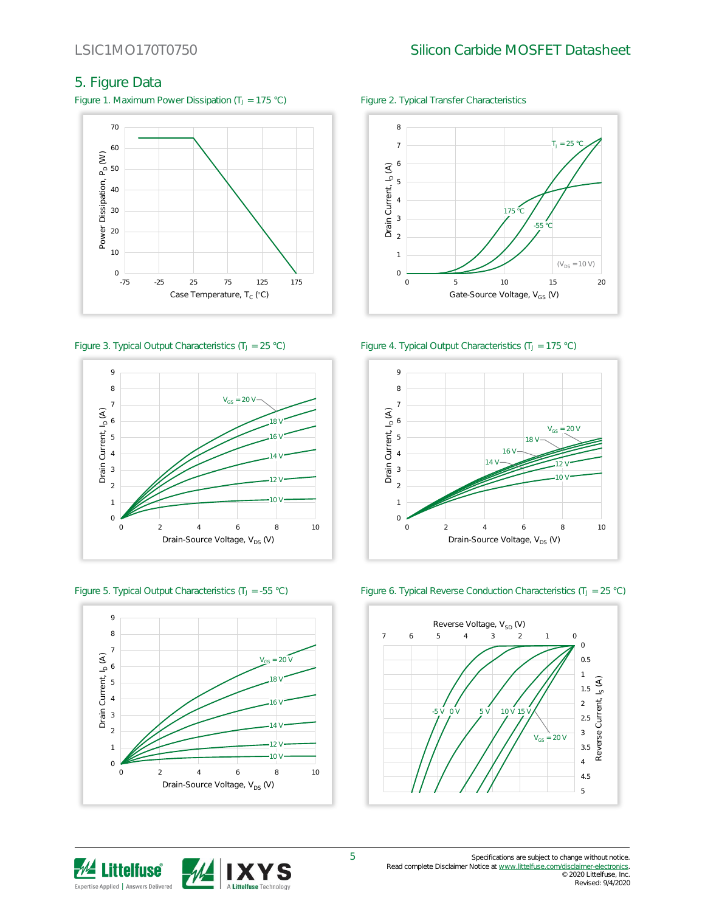# 5. Figure Data

Figure 1. Maximum Power Dissipation (T<sub>J</sub> = 175 °C) Figure 2. Typical Transfer Characteristics











Figure 3. Typical Output Characteristics (T<sub>J</sub> = 25 °C) Figure 4. Typical Output Characteristics (T<sub>J</sub> = 175 °C)



Figure 5. Typical Output Characteristics (T<sub>J</sub> = -55 °C) Figure 6. Typical Reverse Conduction Characteristics (T<sub>J</sub> = 25 °C)

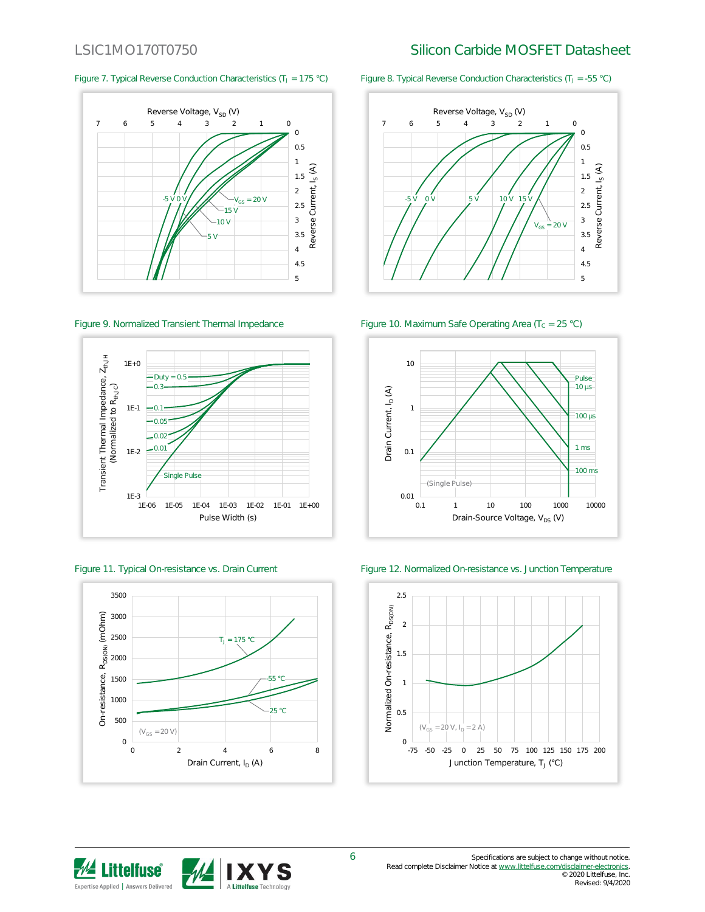







Figure 7. Typical Reverse Conduction Characteristics (T<sub>J</sub> = 175 °C) Figure 8. Typical Reverse Conduction Characteristics (T<sub>J</sub> = -55 °C)



Figure 9. Normalized Transient Thermal Impedance Figure 10. Maximum Safe Operating Area (Tc = 25 °C)



Figure 11. Typical On-resistance vs. Drain Current Figure 12. Normalized On-resistance vs. Junction Temperature



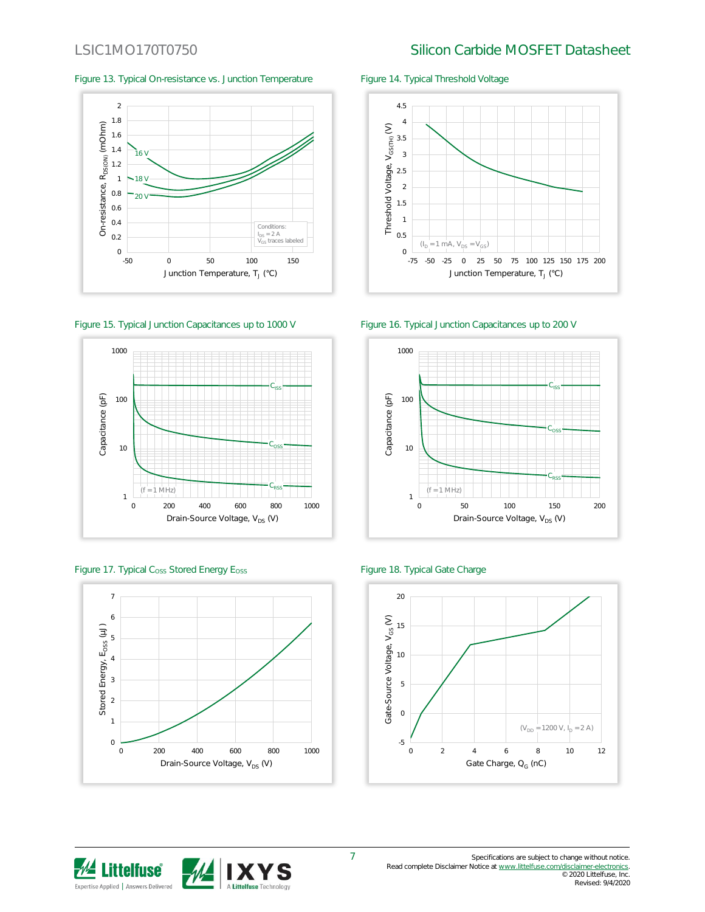### Figure 13. Typical On-resistance vs. Junction Temperature Figure 14. Typical Threshold Voltage



















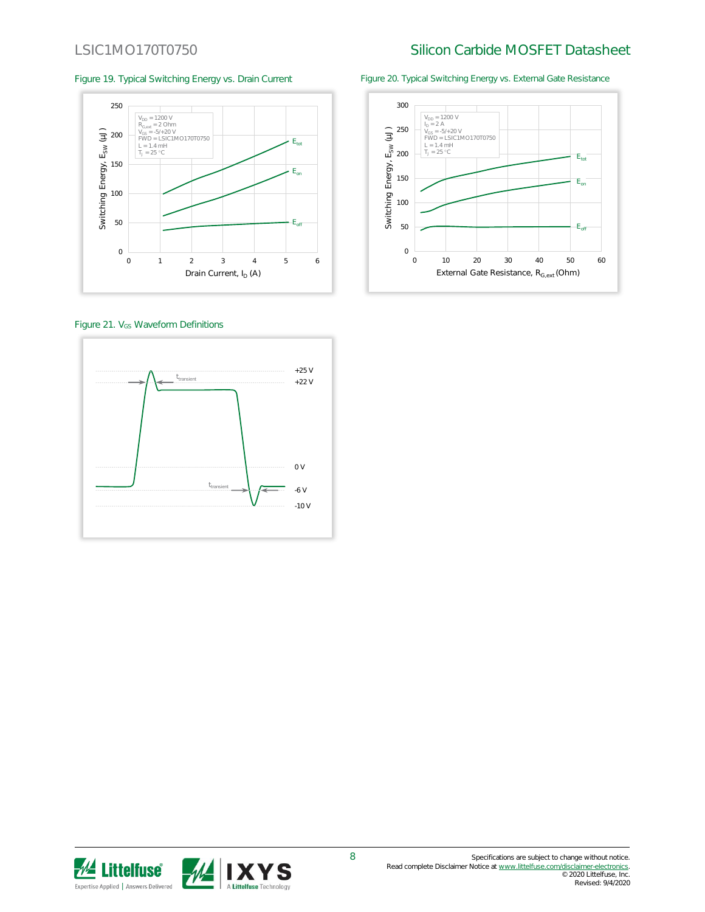

Figure 21. V<sub>GS</sub> Waveform Definitions



Figure 19. Typical Switching Energy vs. Drain Current Figure 20. Typical Switching Energy vs. External Gate Resistance



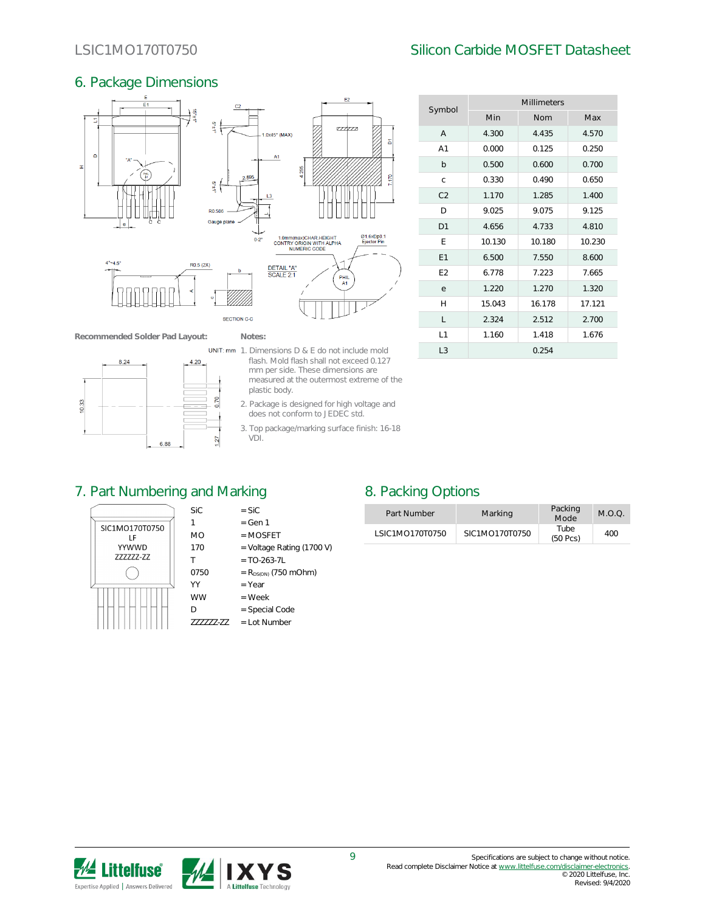### 6. Package Dimensions



**Recommended Solder Pad Layout: Notes:**



- **UNIT:** mm  $\cdot$  1. Dimensions D & E do not include mold flash. Mold flash shall not exceed 0.127 mm per side. These dimensions are measured at the outermost extreme of the plastic body.
	- 2. Package is designed for high voltage and does not conform to JEDEC std.
	- 3. Top package/marking surface finish: 16-18 VDI.

|                | <b>Millimeters</b> |        |        |  |  |
|----------------|--------------------|--------|--------|--|--|
| Symbol         | Min                | Nom    | Max    |  |  |
| A              | 4.300              | 4.435  | 4.570  |  |  |
| A <sub>1</sub> | 0.000              | 0.125  | 0.250  |  |  |
| b              | 0.500              | 0.600  | 0.700  |  |  |
| C              | 0.330              | 0.490  | 0.650  |  |  |
| C <sub>2</sub> | 1.170              | 1.285  | 1.400  |  |  |
| D              | 9.025              | 9.075  | 9.125  |  |  |
| D1             | 4.656              | 4.733  | 4.810  |  |  |
| E              | 10.130             | 10.180 | 10.230 |  |  |
| E1             | 6.500              | 7.550  | 8.600  |  |  |
| E <sub>2</sub> | 6.778              | 7.223  | 7.665  |  |  |
| e              | 1.220              | 1.270  | 1.320  |  |  |
| $\mathsf{H}$   | 15.043             | 16.178 | 17.121 |  |  |
| L              | 2.324              | 2.512  | 2.700  |  |  |
| 1              | 1.160              | 1.418  | 1.676  |  |  |
| L <sub>3</sub> |                    | 0.254  |        |  |  |

### 7. Part Numbering and Marking 8. Packing Options



| <b>SiC</b> | $=$ SiC   |
|------------|-----------|
| -1         | $=$ Gen 1 |

- MO = MOSFET
- 170  $=$  Voltage Rating (1700 V)
- $T = TO-263-7L$
- 0750 =  $R_{DS(ON)}$  (750 mOhm)
- $YY = Year$
- $WW = Week$
- D = Special Code ZZZZZZ-ZZ = Lot Number

| Part Number     | Marking        | Packing<br>Mode       | $M \cap \Omega$ |
|-----------------|----------------|-----------------------|-----------------|
| LSIC1MO170T0750 | SIC1MO170T0750 | Tube<br>$(50$ Pcs $)$ | 400             |